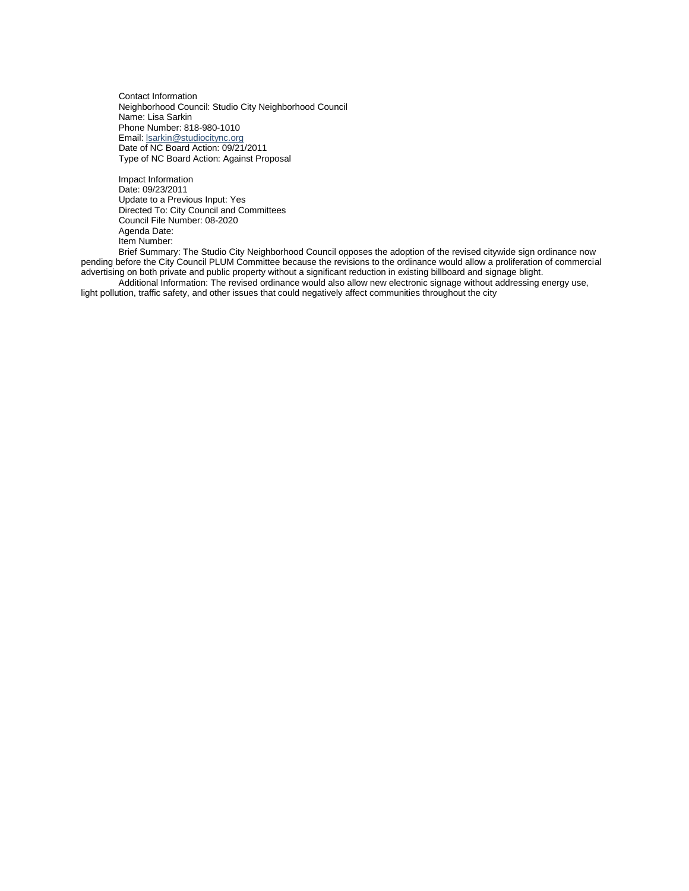Contact Information Neighborhood Council: Studio City Neighborhood Council Name: Lisa Sarkin Phone Number: 818-980-1010 Email: **Isarkin@studiocitync.org** Date of NC Board Action: 09/21/2011 Type of NC Board Action: Against Proposal

Impact Information Date: 09/23/2011 Update to a Previous Input: Yes Directed To: City Council and Committees Council File Number: 08-2020 Agenda Date: Item Number:

Brief Summary: The Studio City Neighborhood Council opposes the adoption of the revised citywide sign ordinance now pending before the City Council PLUM Committee because the revisions to the ordinance would allow a proliferation of commercial advertising on both private and public property without a significant reduction in existing billboard and signage blight.

Additional Information: The revised ordinance would also allow new electronic signage without addressing energy use, light pollution, traffic safety, and other issues that could negatively affect communities throughout the city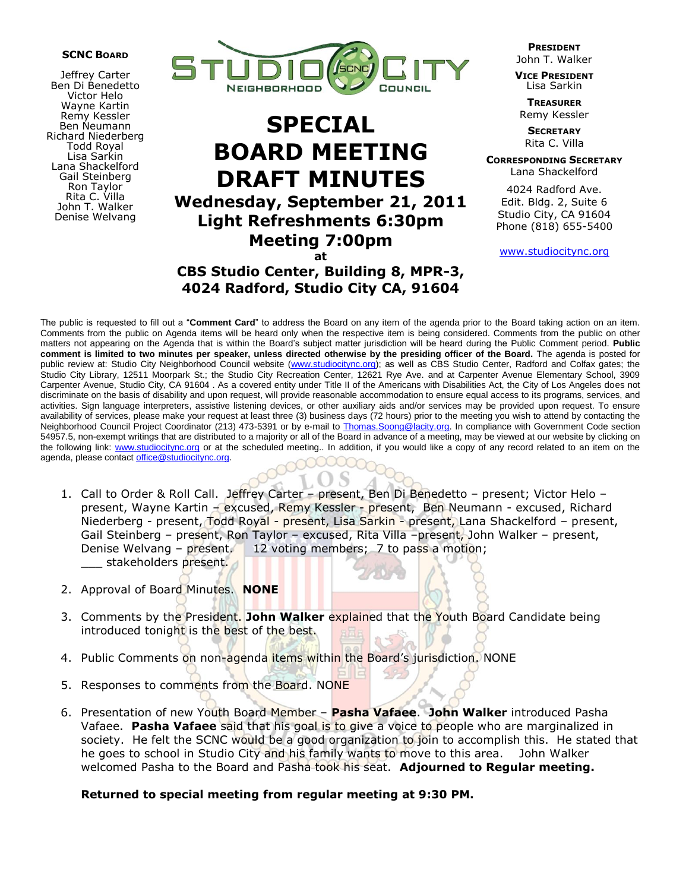## **SCNC BOARD**

Jeffrey Carter Ben Di Benedetto Victor Helo Wayne Kartin Remy Kessler Ben Neumann Richard Niederberg Todd Royal Lisa Sarkin Lana Shackelford Gail Steinberg Ron Taylor Rita C. Villa John T. Walker Denise Welvang



## **SPECIAL BOARD MEETING DRAFT MINUTES Wednesday, September 21, 2011 Light Refreshments 6:30pm Meeting 7:00pm at**

**CBS Studio Center, Building 8, MPR-3, 4024 Radford, Studio City CA, 91604**

**PRESIDENT** John T. Walker

**VICE PRESIDENT** Lisa Sarkin

**TREASURER** Remy Kessler

**SECRETARY** Rita C. Villa

**CORRESPONDING SECRETARY** Lana Shackelford

4024 Radford Ave. Edit. Bldg. 2, Suite 6 Studio City, CA 91604 Phone (818) 655-5400

www.studiocitync.org

The public is requested to fill out a "**Comment Card**" to address the Board on any item of the agenda prior to the Board taking action on an item. Comments from the public on Agenda items will be heard only when the respective item is being considered. Comments from the public on other matters not appearing on the Agenda that is within the Board's subject matter jurisdiction will be heard during the Public Comment period. **Public comment is limited to two minutes per speaker, unless directed otherwise by the presiding officer of the Board.** The agenda is posted for public review at: Studio City Neighborhood Council website (www.studiocitync.org); as well as CBS Studio Center, Radford and Colfax gates; the Studio City Library, 12511 Moorpark St.; the Studio City Recreation Center, 12621 Rye Ave. and at Carpenter Avenue Elementary School, 3909 Carpenter Avenue, Studio City, CA 91604 . As a covered entity under Title II of the Americans with Disabilities Act, the City of Los Angeles does not discriminate on the basis of disability and upon request, will provide reasonable accommodation to ensure equal access to its programs, services, and activities. Sign language interpreters, assistive listening devices, or other auxiliary aids and/or services may be provided upon request. To ensure availability of services, please make your request at least three (3) business days (72 hours) prior to the meeting you wish to attend by contacting the Neighborhood Council Project Coordinator (213) 473-5391 or by e-mail to Thomas. Soong@lacity.org. In compliance with Government Code section 54957.5, non-exempt writings that are distributed to a majority or all of the Board in advance of a meeting, may be viewed at our website by clicking on the following link: www.studiocitync.org or at the scheduled meeting.. In addition, if you would like a copy of any record related to an item on the agenda, please contact office@studiocitync.org.

- 1. Call to Order & Roll Call. Jeffrey Carter present, Ben Di Benedetto present; Victor Helo present, Wayne Kartin – excused, Remy Kessler - present, Ben Neumann - excused, Richard Niederberg - present, Todd Royal - present, Lisa Sarkin - present, Lana Shackelford – present, Gail Steinberg – present, Ron Taylor – excused, Rita Villa –present, John Walker – present, Denise Welvang – present. 12 voting members; 7 to pass a motion; stakeholders present.
- 2. Approval of Board Minutes. **NONE**
- 3. Comments by the President. **John Walker** explained that the Youth Board Candidate being introduced tonight is the best of the best.
- 4. Public Comments on non-agenda items within the Board's jurisdiction. NONE
- 5. Responses to comments from the Board. NONE
- 6. Presentation of new Youth Board Member **Pasha Vafaee**. **John Walker** introduced Pasha Vafaee. **Pasha Vafaee** said that his goal is to give a voice to people who are marginalized in society. He felt the SCNC would be a good organization to join to accomplish this. He stated that he goes to school in Studio City and his family wants to move to this area. John Walker welcomed Pasha to the Board and Pasha took his seat. **Adjourned to Regular meeting.**

## **Returned to special meeting from regular meeting at 9:30 PM.**